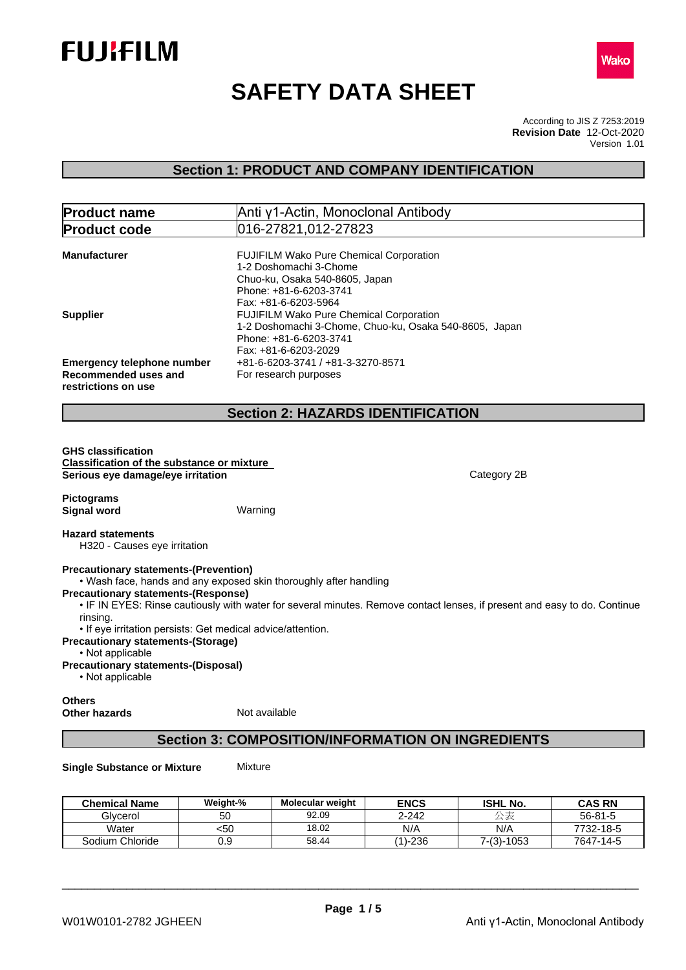



# **SAFETY DATA SHEET**

According to JIS Z 7253:2019 Version 1.01 **Revision Date** 12-Oct-2020

# **Section 1: PRODUCT AND COMPANY IDENTIFICATION**

| <b>Product name</b>                                                                                                                                                   | Anti γ1-Actin, Monoclonal Antibody                                                                                                                                                             |             |
|-----------------------------------------------------------------------------------------------------------------------------------------------------------------------|------------------------------------------------------------------------------------------------------------------------------------------------------------------------------------------------|-------------|
| <b>Product code</b>                                                                                                                                                   | 016-27821,012-27823                                                                                                                                                                            |             |
| <b>Manufacturer</b>                                                                                                                                                   | FUJIFILM Wako Pure Chemical Corporation<br>1-2 Doshomachi 3-Chome<br>Chuo-ku, Osaka 540-8605, Japan<br>Phone: +81-6-6203-3741                                                                  |             |
| <b>Supplier</b>                                                                                                                                                       | Fax: +81-6-6203-5964<br>FUJIFILM Wako Pure Chemical Corporation<br>1-2 Doshomachi 3-Chome, Chuo-ku, Osaka 540-8605, Japan<br>Phone: +81-6-6203-3741<br>Fax: +81-6-6203-2029                    |             |
| <b>Emergency telephone number</b><br>Recommended uses and<br>restrictions on use                                                                                      | +81-6-6203-3741 / +81-3-3270-8571<br>For research purposes                                                                                                                                     |             |
|                                                                                                                                                                       | <b>Section 2: HAZARDS IDENTIFICATION</b>                                                                                                                                                       |             |
| <b>Classification of the substance or mixture</b><br>Serious eye damage/eye irritation<br><b>Pictograms</b><br><b>Signal word</b>                                     | Warning                                                                                                                                                                                        | Category 2B |
| <b>Hazard statements</b><br>H320 - Causes eye irritation                                                                                                              |                                                                                                                                                                                                |             |
| <b>Precautionary statements-(Prevention)</b><br><b>Precautionary statements-(Response)</b><br>rinsing.<br>• If eye irritation persists: Get medical advice/attention. | . Wash face, hands and any exposed skin thoroughly after handling<br>. IF IN EYES: Rinse cautiously with water for several minutes. Remove contact lenses, if present and easy to do. Continue |             |
| <b>Precautionary statements-(Storage)</b><br>• Not applicable<br><b>Precautionary statements-(Disposal)</b><br>• Not applicable                                       |                                                                                                                                                                                                |             |
| <b>Others</b><br><b>Other hazards</b>                                                                                                                                 | Not available                                                                                                                                                                                  |             |

# **Section 3: COMPOSITION/INFORMATION ON INGREDIENTS**

**Single Substance or Mixture** Mixture

| <b>Chemical Name</b> | Weight-% | <b>Molecular weight</b> | <b>ENCS</b> | <b>ISHL No.</b>  | <b>CAS RN</b> |
|----------------------|----------|-------------------------|-------------|------------------|---------------|
| Glycerol             | 5С       | 92.09                   | $2 - 242$   | $\rightarrow$ 18 | $56 - 81 - 5$ |
| Water                | <5∪      | 18.02                   | N/A         | N/A              | 7732-18-5     |
| Sodium Chloride      | 0.9      | 58.44                   | (1)-236     | $7-(3)-1053$     | 7647-14-5     |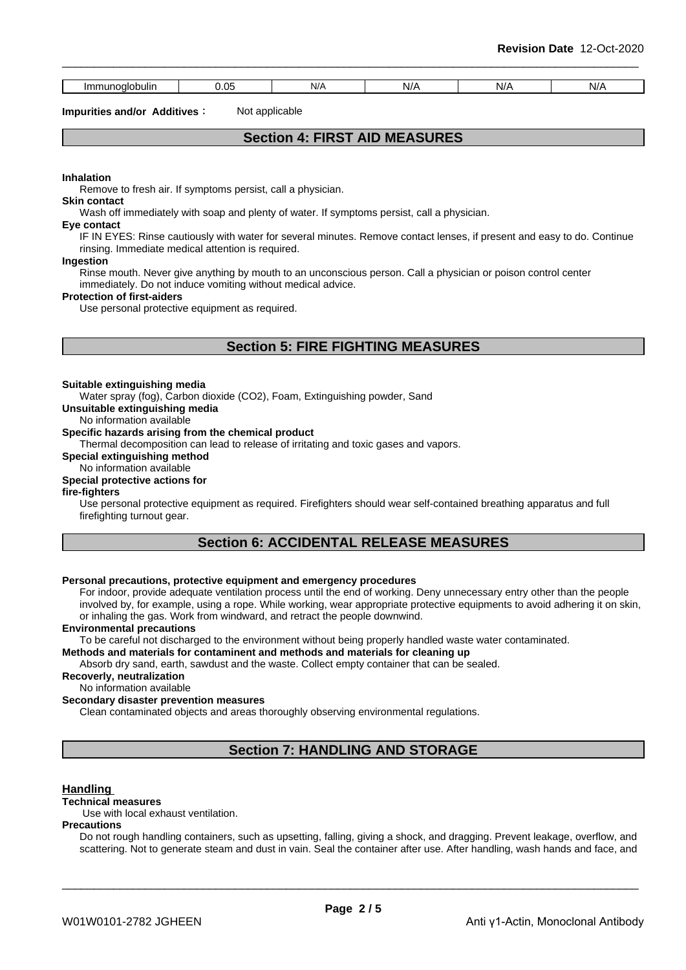| mm                   | ~-<br>. | N/F | NI/ |     |    |
|----------------------|---------|-----|-----|-----|----|
| noalobulin<br>าunoal | .       | .   |     | N/F | N/ |

**Impurities and/or Additives:** Not applicable

### **Section 4: FIRST AID MEASURES**

**Inhalation**

Remove to fresh air. If symptoms persist, call a physician.

### **Skin contact**

Wash off immediately with soap and plenty of water. If symptoms persist, call a physician.

### **Eye contact**

IF IN EYES: Rinse cautiously with water for several minutes. Remove contact lenses, if present and easy to do. Continue rinsing. Immediate medical attention is required.

#### **Ingestion**

Rinse mouth. Never give anything by mouth to an unconscious person. Call a physician or poison control center immediately. Do not induce vomiting without medical advice.

#### **Protection of first-aiders**

Use personal protective equipment as required.

# **Section 5: FIRE FIGHTING MEASURES**

#### **Suitable extinguishing media**

Water spray (fog), Carbon dioxide (CO2), Foam, Extinguishing powder, Sand

**Unsuitable extinguishing media**

No information available

### **Specific hazards arising from the chemical product**

Thermal decomposition can lead to release of irritating and toxic gases and vapors.

### **Special extinguishing method**

#### No information available **Special protective actions for**

### **fire-fighters**

Use personal protective equipment as required.Firefighters should wear self-contained breathing apparatus and full firefighting turnout gear.

# **Section 6: ACCIDENTAL RELEASE MEASURES**

### **Personal precautions, protective equipment and emergency procedures**

For indoor, provide adequate ventilation process until the end of working. Deny unnecessary entry other than the people involved by, for example, using a rope. While working, wear appropriate protective equipments to avoid adhering it on skin, or inhaling the gas. Work from windward, and retract the people downwind.

### **Environmental precautions**

To be careful not discharged to the environment without being properly handled waste water contaminated.

### **Methods and materials for contaminent and methods and materials for cleaning up**

Absorb dry sand, earth, sawdust and the waste. Collect empty container that can be sealed.

### **Recoverly, neutralization**

No information available

#### **Secondary disaster prevention measures**

Clean contaminated objects and areas thoroughly observing environmental regulations.

# **Section 7: HANDLING AND STORAGE**

### **Handling**

### **Technical measures**

Use with local exhaust ventilation.

#### **Precautions**

Do not rough handling containers, such as upsetting, falling, giving a shock, and dragging. Prevent leakage, overflow, and scattering. Not to generate steam and dust in vain. Seal the container after use. After handling, wash hands and face, and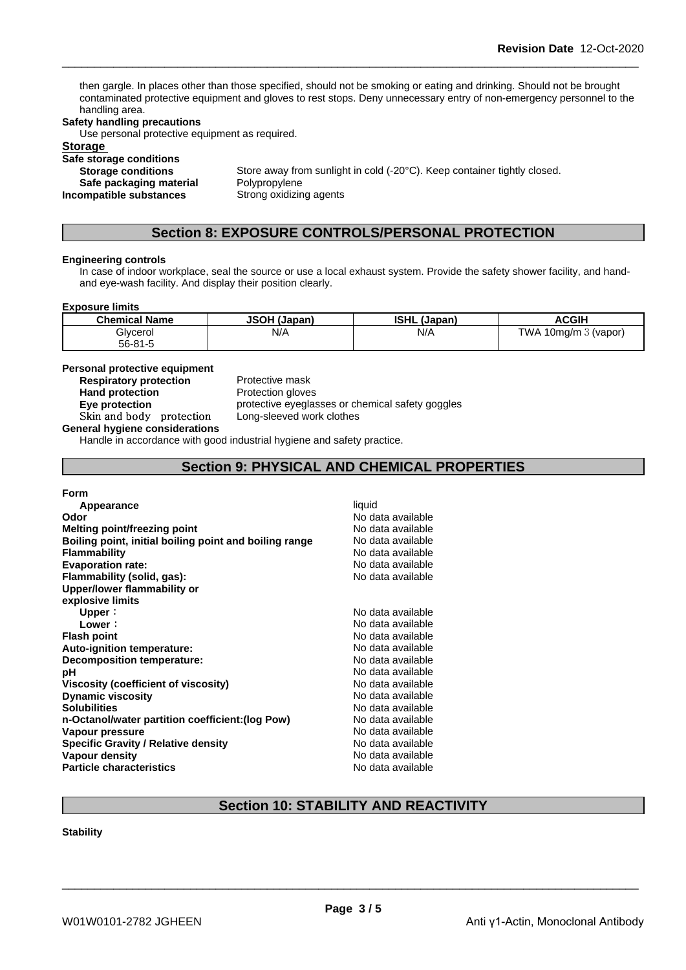then gargle. In places other than those specified, should not be smoking or eating and drinking. Should not be brought contaminated protective equipment and gloves to rest stops. Deny unnecessary entry of non-emergency personnel to the handling area.

### **Safety handling precautions**

Use personal protective equipment as required.

**Storage** 

### **Safe storage conditions**

**Incompatible** substances

**Storage conditions** Store away from sunlight in cold (-20°C). Keep container tightly closed. **Safe packaging material** Polypropylene<br>**ompatible substances** Strong oxidizing agents

### **Section 8: EXPOSURE CONTROLS/PERSONAL PROTECTION**

#### **Engineering controls**

In case of indoor workplace, seal the source or use a local exhaust system. Provide the safety shower facility, and handand eye-wash facility. And display their position clearly.

#### **Exposure limits**

| <b>Chemical Name</b> | <b>JSOH (Japan)</b> | <b>ISHL</b><br>(Japan) | <b>ACGIF</b>                |
|----------------------|---------------------|------------------------|-----------------------------|
| Glycerol             | N/A                 | N/A                    | TWA<br>. 10mg/m $3$ (vapor) |
| $56 - 81 - 5$        |                     |                        |                             |

### **Personal protective equipment**

**Respiratory protection** Protective mask Hand protection **Protection** Protection gloves

**Eye protection Eye protective** eyeglasses or chemical safety goggles **Skinandbody protection** Long-sleeved work clothes

**General hygiene considerations**

Handle in accordance with good industrial hygiene and safety practice.

### **Section 9: PHYSICAL AND CHEMICAL PROPERTIES**

### **Form**

| Appearance                                             | liquid            |
|--------------------------------------------------------|-------------------|
| Odor                                                   | No data available |
| Melting point/freezing point                           | No data available |
| Boiling point, initial boiling point and boiling range | No data available |
| <b>Flammability</b>                                    | No data available |
| <b>Evaporation rate:</b>                               | No data available |
| Flammability (solid, gas):                             | No data available |
| Upper/lower flammability or                            |                   |
| explosive limits                                       |                   |
| Upper:                                                 | No data available |
| Lower:                                                 | No data available |
| <b>Flash point</b>                                     | No data available |
| Auto-ignition temperature:                             | No data available |
| Decomposition temperature:                             | No data available |
| рH                                                     | No data available |
| Viscosity (coefficient of viscosity)                   | No data available |
| <b>Dynamic viscosity</b>                               | No data available |
| <b>Solubilities</b>                                    | No data available |
| n-Octanol/water partition coefficient: (log Pow)       | No data available |
| Vapour pressure                                        | No data available |
| <b>Specific Gravity / Relative density</b>             | No data available |
| <b>Vapour density</b>                                  | No data available |
| <b>Particle characteristics</b>                        | No data available |
|                                                        |                   |

# **Section 10: STABILITY AND REACTIVITY**

### **Stability**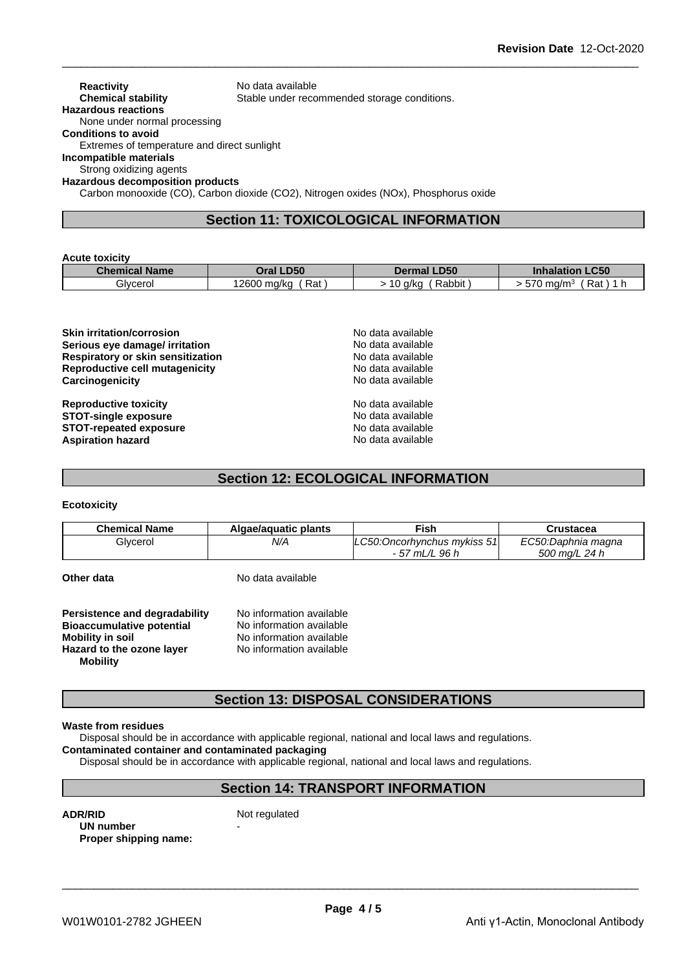### **Reactivity** No data available<br> **Chemical stability** Stable under reco Stable under recommended storage conditions. **Hazardous reactions** None under normal processing **Conditions to avoid** Extremes of temperature and direct sunlight **Incompatible materials**

Strong oxidizing agents **Hazardous decomposition products**

Carbon monooxide (CO), Carbon dioxide (CO2), Nitrogen oxides (NOx), Phosphorus oxide

# **Section 11: TOXICOLOGICAL INFORMATION**

#### **Acute toxicity**

| Chemical    | <b>LD50</b>            | <b>_D50</b>                     | <b>LC50</b>             |
|-------------|------------------------|---------------------------------|-------------------------|
| <b>Name</b> | Dral                   | Dermal                          | Inhalation              |
| Glvcerol    | Rat<br>2600<br>, ma/ka | $\sim$<br>Rabbit<br>) a/kc<br>ັ | 570<br>Rat<br>. 0 ma/mª |

**Skin irritation/corrosion**<br> **Serious eve damage/ irritation**<br> **Serious eve damage/ irritation Serious eye damage/ irritation Respiratory or skin sensitization** No data available **Reproductive cell mutagenicity** No data available **Carcinogenicity Carcinogenicity No data available** 

**Reproductive toxicity No data available** No data available **STOT-single exposure No data available** No data available **STOT-repeated exposure**<br> **Aspiration hazard**<br> **Aspiration hazard**<br> **Aspiration hazard Aspiration hazard** 

# **Section 12: ECOLOGICAL INFORMATION**

### **Ecotoxicity**

| <b>Chemical Name</b> | Algae/aguatic plants | <sup>≂</sup> ish                        | Crustacea          |
|----------------------|----------------------|-----------------------------------------|--------------------|
| Glvcerol             | N/A                  | $\cap$ 50:0.<br>Oncorhvnchus mvkiss 51l | EC50:Daphnia magna |
|                      |                      | $-57$<br>96 h<br>' mL/L                 | 500 mg/L 24 h      |

**Other data** No data available

| Persistence and degradability    | No information available |  |
|----------------------------------|--------------------------|--|
| <b>Bioaccumulative potential</b> | No information available |  |
| <b>Mobility in soil</b>          | No information available |  |
| Hazard to the ozone layer        | No information available |  |
| <b>Mobility</b>                  |                          |  |

# **Section 13: DISPOSAL CONSIDERATIONS**

### **Waste from residues**

Disposal should be in accordance with applicable regional, national and local laws and regulations.

### **Contaminated container and contaminated packaging**

Disposal should be in accordance with applicable regional, national and local laws and regulations.

### **Section 14: TRANSPORT INFORMATION**

**ADR/RID** Not regulated **UN number Proper shipping name:**